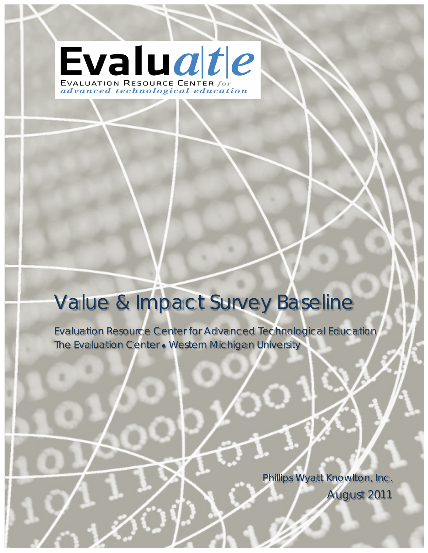Evaluate EVALUATION RESOURCE CENTER for advanced technological education

# Value & Impact Survey Baseline

Evaluation Resource Center for Advanced Technological Education The Evaluation Center • Western Michigan University

> Phillips Wyatt Knowlton, Inc. August 2011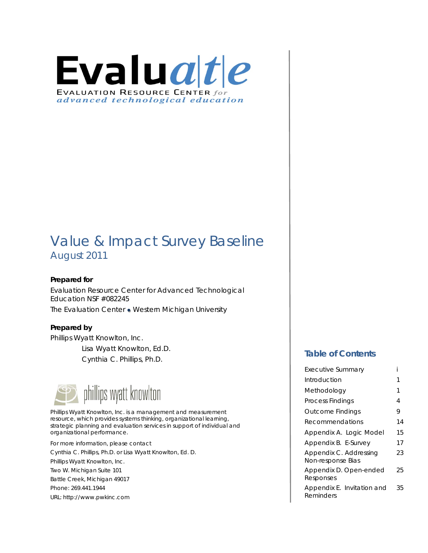

# Value & Impact Survey Baseline August 2011

### **Prepared for**

Evaluation Resource Center for Advanced Technological Education NSF #082245 The Evaluation Center ● Western Michigan University

### **Prepared by**

Phillips Wyatt Knowlton, Inc. Lisa Wyatt Knowlton, Ed.D. Cynthia C. Phillips, Ph.D.



Phillips Wyatt Knowlton, Inc. is a management and measurement resource, which provides systems thinking, organizational learning, strategic planning and evaluation services in support of individual and organizational performance.

For more information, please contact Cynthia C. Phillips, Ph.D. or Lisa Wyatt Knowlton, Ed. D. Phillips Wyatt Knowlton, Inc. Two W. Michigan Suite 101 Battle Creek, Michigan 49017 Phone: 269.441.1944 URL: http://www.pwkinc.com

### **Table of Contents**

| <b>Executive Summary</b>                    |    |
|---------------------------------------------|----|
| Introduction                                | 1  |
| Methodology                                 | 1  |
| <b>Process Findings</b>                     | 4  |
| <b>Outcome Findings</b>                     | 9  |
| Recommendations                             | 14 |
| Appendix A. Logic Model                     | 15 |
| Appendix B. E-Survey                        | 17 |
| Appendix C. Addressing<br>Non-response Bias | 23 |
| Appendix D. Open-ended<br>Responses         | 25 |
| Appendix E. Invitation and<br>Reminders     | 35 |
|                                             |    |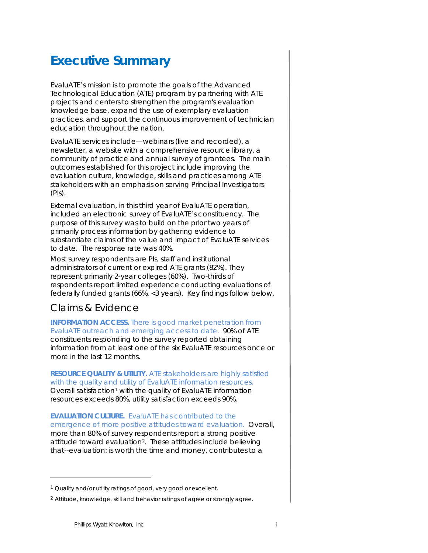## **Executive Summary**

EvaluATE's mission is to promote the goals of the Advanced Technological Education (ATE) program by partnering with ATE projects and centers to strengthen the program's evaluation knowledge base, expand the use of exemplary evaluation practices, and support the continuous improvement of technician education throughout the nation.

EvaluATE services include—webinars (live and recorded), a newsletter, a website with a comprehensive resource library, a community of practice and annual survey of grantees. The main outcomes established for this project include improving the evaluation culture, knowledge, skills and practices among ATE stakeholders with an emphasis on serving Principal Investigators (PIs).

External evaluation, in this third year of EvaluATE operation, included an electronic survey of EvaluATE's constituency. The purpose of this survey was to build on the prior two years of primarily process information by gathering evidence to substantiate claims of the value and impact of EvaluATE services to date. The response rate was 40%.

Most survey respondents are PIs, staff and institutional administrators of current or expired ATE grants (82%). They represent primarily 2-year colleges (60%). Two-thirds of respondents report limited experience conducting evaluations of federally funded grants (66%, <3 years). Key findings follow below.

### Claims & Evidence

**INFORMATION ACCESS.** *There is good market penetration from EvaluATE outreach and emerging access to date.* 90% of ATE constituents responding to the survey reported obtaining information from at least one of the six EvaluATE resources once or more in the last 12 months.

**RESOURCE QUALITY & UTILITY.** *ATE stakeholders are highly satisfied with the quality and utility of EvaluATE information resources.* Overall satisfaction<sup>[1](#page-2-0)</sup> with the quality of EvaluATE information resources exceeds 80%, utility satisfaction exceeds 90%.

**EVALUATION CULTURE.** *EvaluATE has contributed to the emergence of more positive attitudes toward evaluation*. Overall, more than 80% of survey respondents report a strong positive attitude toward evaluation[2.](#page-2-1) These attitudes include believing that--evaluation: is worth the time and money, contributes to a

<span id="page-2-0"></span><sup>&</sup>lt;sup>1</sup> Quality and/or utility ratings of good, very good or excellent.

<span id="page-2-1"></span><sup>&</sup>lt;sup>2</sup> Attitude, knowledge, skill and behavior ratings of agree or strongly agree.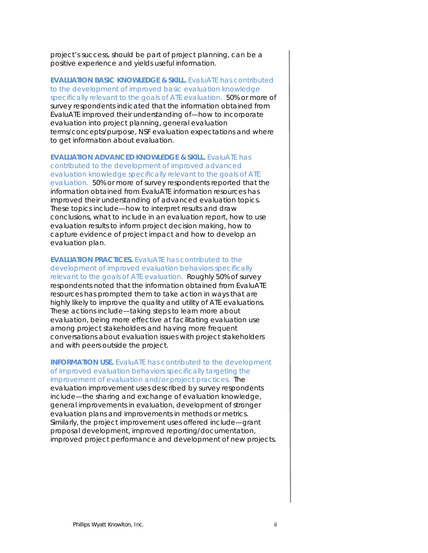project's success, should be part of project planning, can be a positive experience and yields useful information.

**EVALUATION BASIC KNOWLEDGE & SKILL.** *EvaluATE has contributed to the development of improved basic evaluation knowledge specifically relevant to the goals of ATE evaluation.* 50% or more of survey respondents indicated that the information obtained from EvaluATE improved their understanding of—how to incorporate evaluation into project planning, general evaluation terms/concepts/purpose, NSF evaluation expectations and where to get information about evaluation.

**EVALUATION ADVANCED KNOWLEDGE & SKILL.** *EvaluATE has contributed to the development of improved advanced evaluation knowledge specifically relevant to the goals of ATE evaluation.* 50% or more of survey respondents reported that the information obtained from EvaluATE information resources has improved their understanding of advanced evaluation topics. These topics include—how to interpret results and draw conclusions, what to include in an evaluation report, how to use evaluation results to inform project decision making, how to capture evidence of project impact and how to develop an evaluation plan.

**EVALUATION PRACTICES.** *EvaluATE has contributed to the development of improved evaluation behaviors specifically relevant to the goals of ATE evaluation.* Roughly 50% of survey respondents noted that the information obtained from EvaluATE resources has prompted them to take action in ways that are highly likely to improve the quality and utility of ATE evaluations. These actions include—taking steps to learn more about evaluation, being more effective at facilitating evaluation use among project stakeholders and having more frequent conversations about evaluation issues with project stakeholders and with peers outside the project.

**INFORMATION USE.** *EvaluATE has contributed to the development of improved evaluation behaviors specifically targeting the improvement of evaluation and/or project practices.* The evaluation improvement uses described by survey respondents include—the sharing and exchange of evaluation knowledge, general improvements in evaluation, development of stronger evaluation plans and improvements in methods or metrics. Similarly, the project improvement uses offered include—grant proposal development, improved reporting/documentation, improved project performance and development of new projects.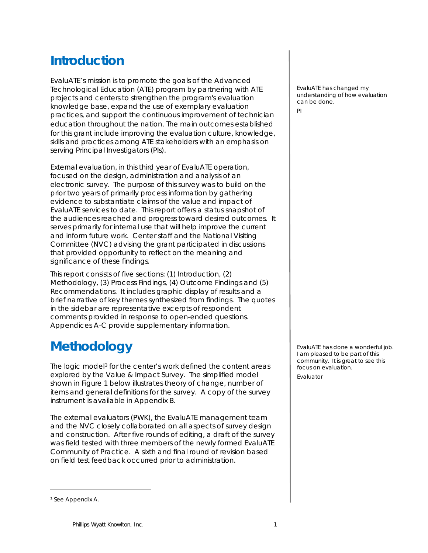# **Introduction**

EvaluATE's mission is to promote the goals of the Advanced Technological Education (ATE) program by partnering with ATE projects and centers to strengthen the program's evaluation knowledge base, expand the use of exemplary evaluation practices, and support the continuous improvement of technician education throughout the nation. The main outcomes established for this grant include improving the evaluation culture, knowledge, skills and practices among ATE stakeholders with an emphasis on serving Principal Investigators (PIs).

External evaluation, in this third year of EvaluATE operation, focused on the design, administration and analysis of an electronic survey. The purpose of this survey was to build on the prior two years of primarily process information by gathering evidence to substantiate claims of the value and impact of EvaluATE services to date. This report offers a status snapshot of the audiences reached and progress toward desired outcomes. It serves primarily for internal use that will help improve the current and inform future work. Center staff and the National Visiting Committee (NVC) advising the grant participated in discussions that provided opportunity to reflect on the meaning and significance of these findings.

This report consists of five sections: (1) Introduction, (2) Methodology, (3) Process Findings, (4) Outcome Findings and (5) Recommendations. It includes graphic display of results and a brief narrative of key themes synthesized from findings. The quotes in the sidebar are representative excerpts of respondent comments provided in response to open-ended questions. Appendices A-C provide supplementary information.

# **Methodology**

The logic model<sup>[3](#page-4-0)</sup> for the center's work defined the content areas explored by the *Value & Impact Survey.* The simplified model shown in Figure 1 below illustrates theory of change, number of items and general definitions for the survey. A copy of the survey instrument is available in Appendix B.

The external evaluators (PWK), the EvaluATE management team and the NVC closely collaborated on all aspects of survey design and construction. After five rounds of editing, a draft of the survey was field tested with three members of the newly formed EvaluATE Community of Practice. A sixth and final round of revision based on field test feedback occurred prior to administration.

EvaluATE has changed my understanding of how evaluation can be done.

PI

EvaluATE has done a wonderful job. I am pleased to be part of this community. It is great to see this focus on evaluation. Evaluator

<span id="page-4-0"></span><sup>3</sup> See Appendix A.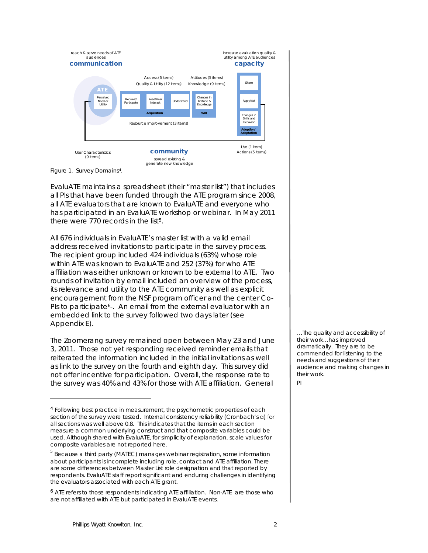



 $\overline{a}$ 

EvaluATE maintains a spreadsheet (their "master list") that includes all PIs that have been funded through the ATE program since 2008, all ATE evaluators that are known to EvaluATE and everyone who has participated in an EvaluATE workshop or webinar. In May 2011 there were 770 records in the list<sup>5</sup>.

All 676 individuals in EvaluATE's master list with a valid email address received invitations to participate in the survey process. The recipient group included 424 individuals (63%) whose role within ATE was known to EvaluATE and 252 (37%) for who ATE affiliation was either unknown or known to be external to ATE. Two rounds of invitation by email included an overview of the process, its relevance and utility to the ATE community as well as explicit encouragement from the NSF program officer and the center Co-PIs to participate<sup>6</sup>-. An email from the external evaluator with an embedded link to the survey followed two days later (see Appendix E).

The Zoomerang survey remained open between May 23 and June 3, 2011. Those not yet responding received reminder emails that reiterated the information included in the initial invitations as well as link to the survey on the fourth and eighth day. This survey did not offer incentive for participation. Overall, the response rate to the survey was 40% and 43% for those with ATE affiliation. General

…The quality and accessibility of their work…has improved dramatically. They are to be commended for listening to the needs and suggestions of their audience and making changes in their work.

PI

<span id="page-5-0"></span><sup>4</sup> Following best practice in measurement, the psychometric properties of each section of the survey were tested. Internal consistency reliability (Cronbach's α) for all sections was well above 0.8. This indicates that the items in each section measure a common underlying construct and that composite variables could be used. Although shared with EvaluATE, for simplicity of explanation, scale values for composite variables are not reported here.

<span id="page-5-1"></span><sup>5</sup> Because a third party (MATEC) manages webinar registration, some information about participants is incomplete including role, contact and ATE affiliation. There are some differences between Master List role designation and that reported by respondents. EvaluATE staff report significant and enduring challenges in identifying the evaluators associated with each ATE grant.

<span id="page-5-2"></span><sup>6</sup> ATE refers to those respondents indicating ATE affiliation. Non-ATE are those who are not affiliated with ATE but participated in EvaluATE events.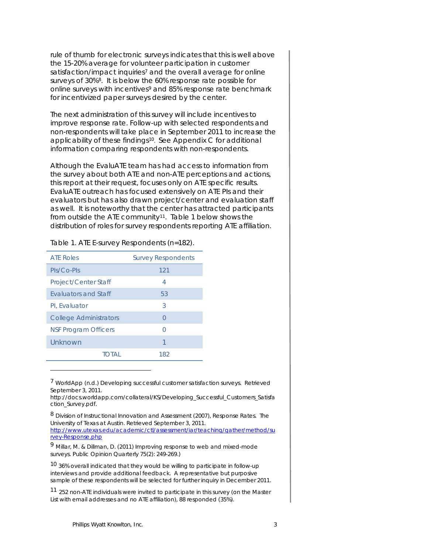rule of thumb for electronic surveys indicates that this is well above the 15-20% average for volunteer participation in customer satisfaction/impact inquiries<sup>[7](#page-6-0)</sup> and the overall average for online surveys of 30%[8](#page-6-1). It is below the 60% response rate possible for online surveys with incentives<sup>[9](#page-6-2)</sup> and 85% response rate benchmark for incentivized paper surveys desired by the center.

The next administration of this survey will include incentives to improve response rate. Follow-up with selected respondents and non-respondents will take place in September 2011 to increase the applicability of these findings<sup>[10](#page-6-3)</sup>. See Appendix C for additional information comparing respondents with non-respondents.

Although the EvaluATE team has had access to information from the survey about both ATE and non-ATE perceptions and actions, this report at their request, focuses only on ATE specific results. EvaluATE outreach has focused extensively on ATE PIs and their evaluators but has also drawn project/center and evaluation staff as well. It is noteworthy that the center has attracted participants from outside the ATE community<sup>11</sup>. Table 1 below shows the distribution of roles for survey respondents reporting ATE affiliation.

| <b>ATE Roles</b>              | <b>Survey Respondents</b> |
|-------------------------------|---------------------------|
| PIs/Co-PIs                    | 121                       |
| Project/Center Staff          | 4                         |
| <b>Fyaluators and Staff</b>   | 53                        |
| Pl. Evaluator                 | 3                         |
| <b>College Administrators</b> | $\cap$                    |
| <b>NSF Program Officers</b>   |                           |
| Unknown                       |                           |
| TOTAL                         | 182                       |

Table 1. ATE E-survey Respondents (*n*=182).

<span id="page-6-0"></span><sup>7</sup> WorldApp (n.d.) *Developing successful customer satisfaction surveys*. Retrieved September 3, 2011.

http://docs.worldapp.com/collateral/KS/Developing\_Successful\_Customers\_Satisfa ction\_Survey.pdf.

<span id="page-6-1"></span><sup>8</sup> Division of Instructional Innovation and Assessment (2007), *Response Rates*. The University of Texas at Austin. Retrieved September 3, 2011. [http://www.utexas.edu/academic/ctl/assessment/iar/teaching/gather/method/su](http://www.utexas.edu/academic/ctl/assessment/iar/teaching/gather/method/survey-Response.php) [rvey-Response.php](http://www.utexas.edu/academic/ctl/assessment/iar/teaching/gather/method/survey-Response.php)

<span id="page-6-2"></span><sup>9</sup> Millar, M. & Dillman, D. (2011) Improving response to web and mixed-mode surveys. *Public Opinion Quarterly 75(2): 249-269*.)

<span id="page-6-3"></span><sup>10</sup> 36% overall indicated that they would be willing to participate in follow-up interviews and provide additional feedback. A representative but purposive sample of these respondents will be selected for further inquiry in December 2011.

<span id="page-6-4"></span><sup>11</sup> 252 non-ATE individuals were invited to participate in this survey (on the Master List with email addresses and no ATE affiliation), 88 responded (35%).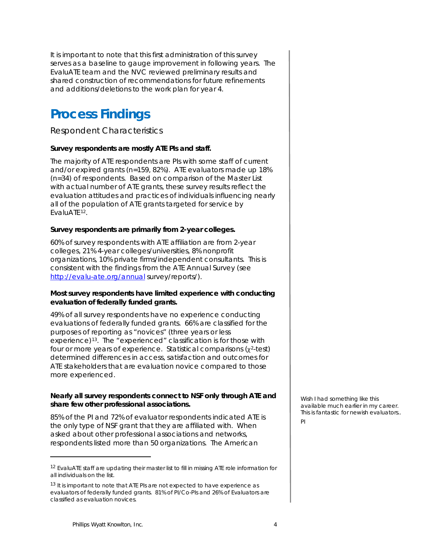# **Process Findings**

*Respondent Characteristics*

### **Survey respondents are mostly ATE PIs and staff.**

The majority of ATE respondents are PIs with some staff of current and/or expired grants (*n*=159, 82%). ATE evaluators made up 18% (*n*=34) of respondents. Based on comparison of the Master List with actual number of ATE grants, these survey results reflect the evaluation attitudes and practices of individuals influencing nearly all of the population of ATE grants targeted for service by EvaluATE[12.](#page-7-0)

### **Survey respondents are primarily from 2-year colleges.**

60% of survey respondents with ATE affiliation are from 2-year colleges, 21% 4-year colleges/universities, 8% nonprofit organizations, 10% private firms/independent consultants. This is consistent with the findings from the *ATE Annual Survey (see <http://evalu-ate.org/annual> survey/reports/)*.

### **Most survey respondents have limited experience with conducting evaluation of federally funded grants.**

49% of all survey respondents have no experience conducting evaluations of federally funded grants. 66% are classified for the purposes of reporting as "novices" (three years or less experience)[13.](#page-7-1) The "experienced" classification is for those with four or more years of experience. Statistical comparisons  $(x^2-test)$ determined differences in access, satisfaction and outcomes for ATE stakeholders that are evaluation novice compared to those more experienced.

### **Nearly all survey respondents connect to NSF only through ATE and share few other professional associations.**

85% of the PI and 72% of evaluator respondents indicated ATE is the only type of NSF grant that they are affiliated with. When asked about other professional associations and networks, respondents listed more than 50 organizations. The American

Wish I had something like this available much earlier in my career. This is fantastic for newish evaluators.. **DI** 

<span id="page-7-0"></span><sup>12</sup> EvaluATE staff are updating their master list to fill in missing ATE role information for all individuals on the list.

<span id="page-7-1"></span><sup>&</sup>lt;sup>13</sup> It is important to note that ATE PIs are not expected to have experience as evaluators of federally funded grants. 81% of PI/Co-PIs and 26% of Evaluators are classified as evaluation novices.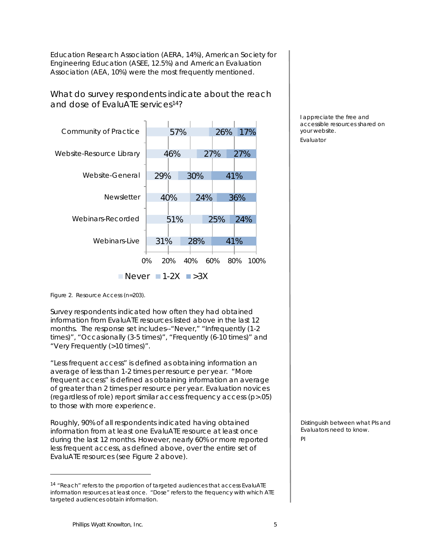Education Research Association (AERA, 14%), American Society for Engineering Education (ASEE, 12.5%) and American Evaluation Association (AEA, 10%) were the most frequently mentioned.

*What do survey respondents indicate about the reach and dose of EvaluATE services[14](#page-8-0)?*



I appreciate the free and accessible resources shared on your website. Evaluator

Figure 2. Resource Access (*n*=203).

Survey respondents indicated how often they had obtained information from EvaluATE resources listed above in the last 12 months. The response set includes--"Never," "Infrequently (1-2 times)", "Occasionally (3-5 times)", "Frequently (6-10 times)" and "Very Frequently (>10 times)".

"Less frequent access" is defined as obtaining information an average of less than 1-2 times per resource per year. "More frequent access" is defined as obtaining information an average of greater than 2 times per resource per year. Evaluation novices (regardless of role) report similar access frequency access (p>.05) to those with more experience.

Roughly, 90% of all respondents indicated having obtained information from at least one EvaluATE resource at least once during the last 12 months. However, nearly 60% or more reported less frequent access, as defined above, over the entire set of EvaluATE resources (see Figure 2 above).

Distinguish between what PIs and Evaluators need to know.

<span id="page-8-0"></span><sup>&</sup>lt;sup>14</sup> "Reach" refers to the proportion of targeted audiences that access EvaluATE information resources at least once. "Dose" refers to the frequency with which ATE targeted audiences obtain information.

PI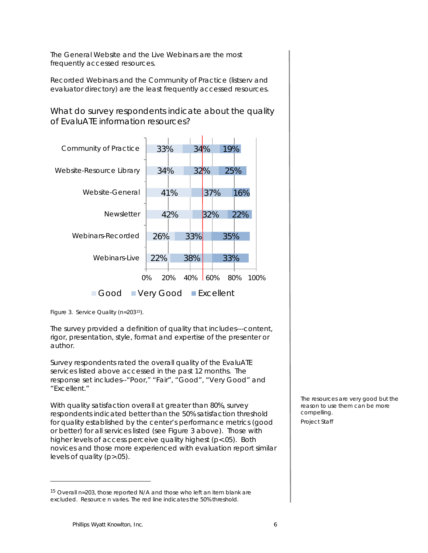The General Website and the Live Webinars are the most frequently accessed resources.

Recorded Webinars and the Community of Practice (listserv and evaluator directory) are the least frequently accessed resources.

*What do survey respondents indicate about the quality of EvaluATE information resources?*



Figure 3. Service Quality (*n*=203[15\)](#page-9-0).

The survey provided a definition of quality that includes---content, rigor, presentation, style, format and expertise of the presenter or author.

Survey respondents rated the overall quality of the EvaluATE services listed above accessed in the past 12 months. The response set includes--"Poor," "Fair", "Good", "Very Good" and "Excellent."

With quality satisfaction overall at greater than 80%, survey respondents indicated better than the 50% satisfaction threshold for quality established by the center's performance metrics (good or better) for all services listed (see Figure 3 above). Those with higher levels of access perceive quality highest (p<.05). Both novices and those more experienced with evaluation report similar levels of quality (p>.05).

The resources are very good but the reason to use them can be more compelling. Project Staff

<span id="page-9-0"></span><sup>15</sup> Overall *n*=203, those reported N/A and those who left an item blank are excluded. Resource *n* varies. The red line indicates the 50% threshold.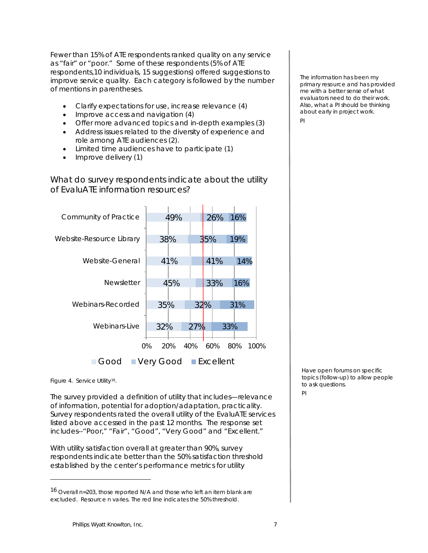Fewer than 15% of ATE respondents ranked quality on any service as "fair" or "poor." Some of these respondents (5% of ATE respondents,10 individuals, 15 suggestions) offered suggestions to improve service quality. Each category is followed by the number of mentions in parentheses.

- Clarify expectations for use, increase relevance (4)
- Improve access and navigation (4)
- Offer more advanced topics and in-depth examples (3)
- Address issues related to the diversity of experience and role among ATE audiences (2).
- Limited time audiences have to participate (1)
- Improve delivery (1)

*What do survey respondents indicate about the utility of EvaluATE information resources?*



Figure 4. Service Utility<sup>16</sup>.

 $\overline{a}$ 

The survey provided a definition of utility that includes—relevance of information, potential for adoption/adaptation, practicality. Survey respondents rated the overall utility of the EvaluATE services listed above accessed in the past 12 months. The response set includes--"Poor," "Fair", "Good", "Very Good" and "Excellent."

With utility satisfaction overall at greater than 90%, survey respondents indicate better than the 50% satisfaction threshold established by the center's performance metrics for utility

The information has been my primary resource and has provided me with a better sense of what evaluators need to do their work. Also, what a PI should be thinking about early in project work.

PI

Have open forums on specific topics (follow-up) to allow people to ask questions.

PI

<span id="page-10-0"></span><sup>16</sup> Overall *n*=203, those reported N/A and those who left an item blank are excluded. Resource *n* varies. The red line indicates the 50% threshold.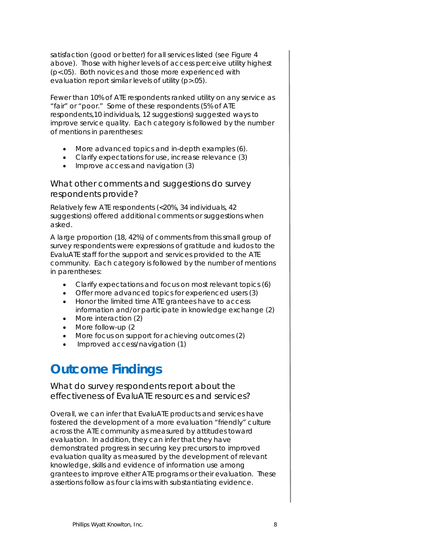satisfaction (good or better) for all services listed (see Figure 4 above). Those with higher levels of access perceive utility highest (p<.05). Both novices and those more experienced with evaluation report similar levels of utility (p>.05).

Fewer than 10% of ATE respondents ranked utility on any service as "fair" or "poor." Some of these respondents (5% of ATE respondents,10 individuals, 12 suggestions) suggested ways to improve service quality. Each category is followed by the number of mentions in parentheses:

- More advanced topics and in-depth examples (6).
- Clarify expectations for use, increase relevance (3)
- Improve access and navigation (3)

### *What other comments and suggestions do survey respondents provide?*

Relatively few ATE respondents (<20%, 34 individuals, 42 suggestions) offered additional comments or suggestions when asked.

A large proportion (18, 42%) of comments from this small group of survey respondents were expressions of gratitude and kudos to the EvaluATE staff for the support and services provided to the ATE community. Each category is followed by the number of mentions in parentheses:

- Clarify expectations and focus on most relevant topics (6)
- Offer more advanced topics for experienced users (3)
- Honor the limited time ATE grantees have to access information and/or participate in knowledge exchange (2)
- More interaction (2)
- More follow-up (2)
- More focus on support for achieving outcomes (2)
- Improved access/navigation (1)

# **Outcome Findings**

*What do survey respondents report about the effectiveness of EvaluATE resources and services?*

Overall, we can infer that EvaluATE products and services have fostered the development of a more evaluation "friendly" culture across the ATE community as measured by attitudes toward evaluation. In addition, they can infer that they have demonstrated progress in securing key precursors to improved evaluation quality as measured by the development of relevant knowledge, skills and evidence of information use among grantees to improve either ATE programs or their evaluation. These assertions follow as four claims with substantiating evidence.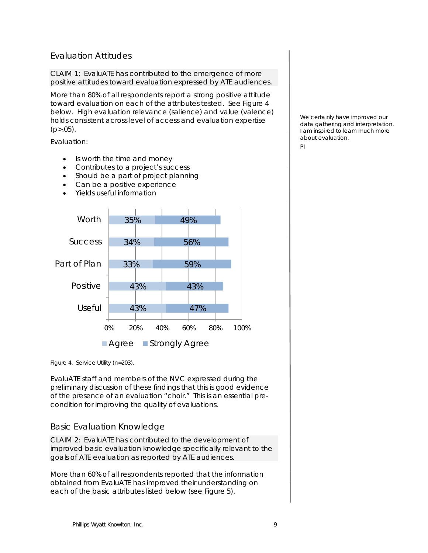### Evaluation Attitudes

CLAIM 1: EvaluATE has contributed to the emergence of more positive attitudes toward evaluation expressed by ATE audiences.

More than 80% of all respondents report a strong positive attitude toward evaluation on each of the attributes tested. See Figure 4 below. High evaluation relevance (salience) and value (valence) holds consistent across level of access and evaluation expertise  $(p > .05)$ .

Evaluation:

- Is worth the time and money
- Contributes to a project's success
- Should be a part of project planning
- Can be a positive experience
- Yields useful information



Figure 4. Service Utility (*n*=203).

EvaluATE staff and members of the NVC expressed during the preliminary discussion of these findings that this is good evidence of the presence of an evaluation "choir." This is an essential precondition for improving the quality of evaluations.

### Basic Evaluation Knowledge

CLAIM 2: EvaluATE has contributed to the development of improved basic evaluation knowledge specifically relevant to the goals of ATE evaluation as reported by ATE audiences.

More than 60% of all respondents reported that the information obtained from EvaluATE has improved their understanding on each of the basic attributes listed below (see Figure 5).

We certainly have improved our data gathering and interpretation. I am inspired to learn much more about evaluation.

PI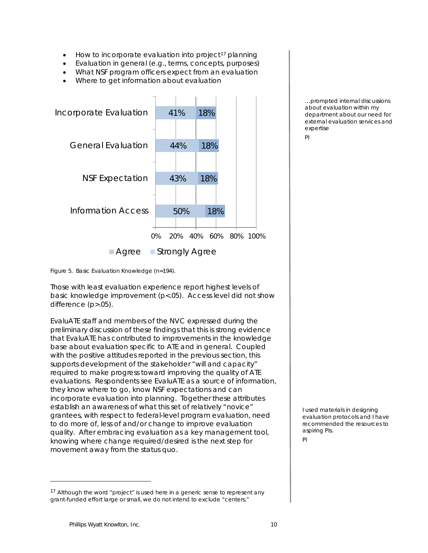- $\bullet$  How to incorporate evaluation into project<sup>[17](#page-13-0)</sup> planning
- Evaluation in general (e.g., terms, concepts, purposes)
- What NSF program officers expect from an evaluation
- Where to get information about evaluation



Figure 5. Basic Evaluation Knowledge (*n*=194).

Those with least evaluation experience report highest levels of basic knowledge improvement (p<.05). Access level did not show difference (p>.05).

EvaluATE staff and members of the NVC expressed during the preliminary discussion of these findings that this is strong evidence that EvaluATE has contributed to improvements in the knowledge base about evaluation specific to ATE and in general. Coupled with the positive attitudes reported in the previous section, this supports development of the stakeholder "will and capacity" required to make progress toward improving the quality of ATE evaluations. Respondents see EvaluATE as a source of information, they know where to go, know NSF expectations and can incorporate evaluation into planning. Together these attributes establish an awareness of what this set of relatively "novice" grantees, with respect to federal-level program evaluation, need to do more of, less of and/or change to improve evaluation quality. After embracing evaluation as a key management tool, knowing where change required/desired is the next step for movement away from the status quo.

…prompted internal discussions about evaluation within my department about our need for external evaluation services and expertise

PI

I used materials in designing evaluation protocols and I have recommended the resources to aspiring PIs.

### PI

<span id="page-13-0"></span><sup>&</sup>lt;sup>17</sup> Although the word "project" is used here in a generic sense to represent any grant-funded effort large or small, we do not intend to exclude "centers."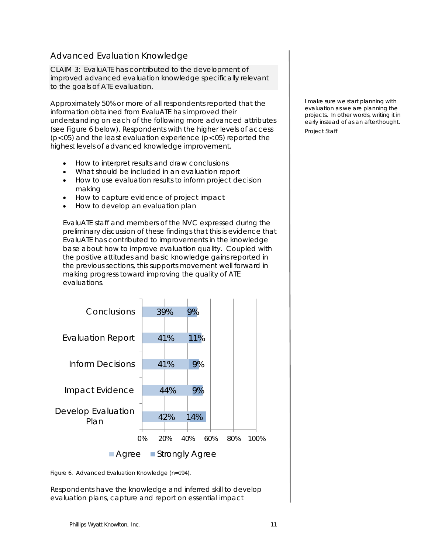### Advanced Evaluation Knowledge

CLAIM 3: EvaluATE has contributed to the development of improved advanced evaluation knowledge specifically relevant to the goals of ATE evaluation.

Approximately 50% or more of all respondents reported that the information obtained from EvaluATE has improved their understanding on each of the following more advanced attributes (see Figure 6 below). Respondents with the higher levels of access (p<.05) and the least evaluation experience (p<.05) reported the highest levels of advanced knowledge improvement.

- How to interpret results and draw conclusions
- What should be included in an evaluation report
- How to use evaluation results to inform project decision making
- How to capture evidence of project impact
- How to develop an evaluation plan

EvaluATE staff and members of the NVC expressed during the preliminary discussion of these findings that this is evidence that EvaluATE has contributed to improvements in the knowledge base about how to improve evaluation quality. Coupled with the positive attitudes and basic knowledge gains reported in the previous sections, this supports movement well forward in making progress toward improving the quality of ATE evaluations.



Figure 6. Advanced Evaluation Knowledge (*n*=194).

Respondents have the knowledge and inferred skill to develop evaluation plans, capture and report on essential impact

I make sure we start planning with evaluation as we are planning the projects. In other words, writing it in early instead of as an afterthought. Project Staff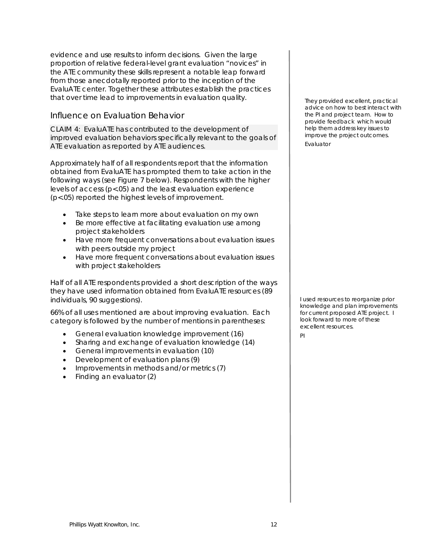evidence and use results to inform decisions. Given the large proportion of relative federal-level grant evaluation "novices" in the ATE community these skills represent a notable leap forward from those anecdotally reported prior to the inception of the EvaluATE center. Together these attributes establish the practices that over time lead to improvements in evaluation quality.

### Influence on Evaluation Behavior

CLAIM 4: EvaluATE has contributed to the development of improved evaluation behaviors specifically relevant to the goals of ATE evaluation as reported by ATE audiences.

Approximately half of all respondents report that the information obtained from EvaluATE has prompted them to take action in the following ways (see Figure 7 below). Respondents with the higher levels of access (p<.05) and the least evaluation experience (p<.05) reported the highest levels of improvement.

- Take steps to learn more about evaluation on my own
- Be more effective at facilitating evaluation use among project stakeholders
- Have more frequent conversations about evaluation issues with peers outside my project
- Have more frequent conversations about evaluation issues with project stakeholders

Half of all ATE respondents provided a short description of the ways they have used information obtained from EvaluATE resources (89 individuals, 90 suggestions).

66% of all uses mentioned are about improving evaluation. Each category is followed by the number of mentions in parentheses:

- General evaluation knowledge improvement (16)
- Sharing and exchange of evaluation knowledge (14)
- General improvements in evaluation (10)
- Development of evaluation plans (9)
- Improvements in methods and/or metrics (7)
- Finding an evaluator (2)

They provided excellent, practical advice on how to best interact with the PI and project team. How to provide feedback which would help them address key issues to improve the project outcomes. Evaluator

I used resources to reorganize prior knowledge and plan improvements for current proposed ATE project. I look forward to more of these excellent resources.

PI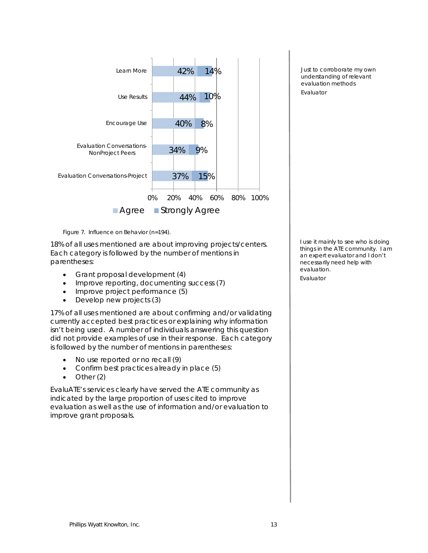

Figure 7. Influence on Behavior (*n*=194).

18% of all uses mentioned are about improving projects/centers. Each category is followed by the number of mentions in parentheses:

- Grant proposal development (4)
- Improve reporting, documenting success (7)
- Improve project performance (5)
- Develop new projects (3)

17% of all uses mentioned are about confirming and/or validating currently accepted best practices or explaining why information isn't being used. A number of individuals answering this question did not provide examples of use in their response. Each category is followed by the number of mentions in parentheses:

- No use reported or no recall (9)
- Confirm best practices already in place (5)
- Other (2)

EvaluATE's services clearly have served the ATE community as indicated by the large proportion of uses cited to improve evaluation as well as the use of information and/or evaluation to improve grant proposals.

Just to corroborate my own understanding of relevant evaluation methods Evaluator

I use it mainly to see who is doing things in the ATE community. I am an expert evaluator and I don't necessarily need help with evaluation.

Evaluator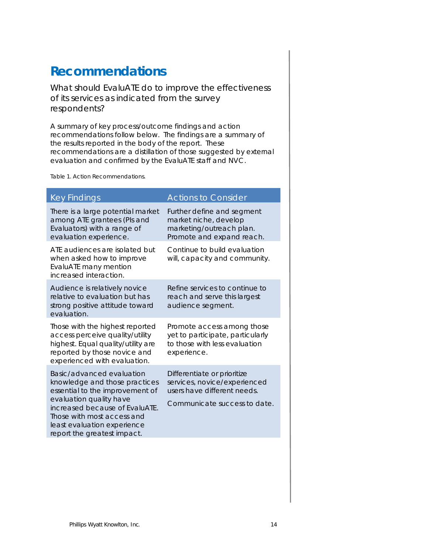### **Recommendations**

*What should EvaluATE do to improve the effectiveness of its services as indicated from the survey respondents?*

A summary of key process/outcome findings and action recommendations follow below. The findings are a summary of the results reported in the body of the report. These recommendations are a distillation of those suggested by external evaluation and confirmed by the EvaluATE staff and NVC.

Table 1. Action Recommendations.

| <b>Key Findings</b>                                                                                                                                                                                                                                    | <b>Actions to Consider</b>                                                                                                 |
|--------------------------------------------------------------------------------------------------------------------------------------------------------------------------------------------------------------------------------------------------------|----------------------------------------------------------------------------------------------------------------------------|
| There is a large potential market<br>among ATE grantees (Pls and<br>Evaluators) with a range of<br>evaluation experience.                                                                                                                              | Further define and segment<br>market niche, develop<br>marketing/outreach plan.<br>Promote and expand reach.               |
| ATE audiences are isolated but<br>when asked how to improve<br>EvaluATE many mention<br>increased interaction.                                                                                                                                         | Continue to build evaluation<br>will, capacity and community.                                                              |
| Audience is relatively novice<br>relative to evaluation but has<br>strong positive attitude toward<br>evaluation.                                                                                                                                      | Refine services to continue to<br>reach and serve this largest<br>audience segment.                                        |
| Those with the highest reported<br>access perceive quality/utility<br>highest. Equal quality/utility are<br>reported by those novice and<br>experienced with evaluation.                                                                               | Promote access among those<br>yet to participate, particularly<br>to those with less evaluation<br>experience.             |
| Basic/advanced evaluation<br>knowledge and those practices<br>essential to the improvement of<br>evaluation quality have<br>increased because of EvaluATE.<br>Those with most access and<br>least evaluation experience<br>report the greatest impact. | Differentiate or prioritize<br>services, novice/experienced<br>users have different needs.<br>Communicate success to date. |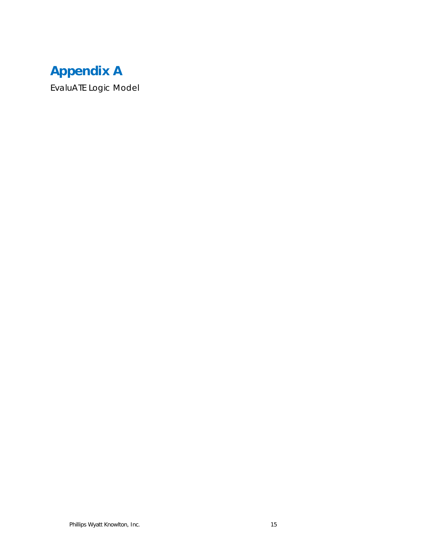# **Appendix A**

EvaluATE Logic Model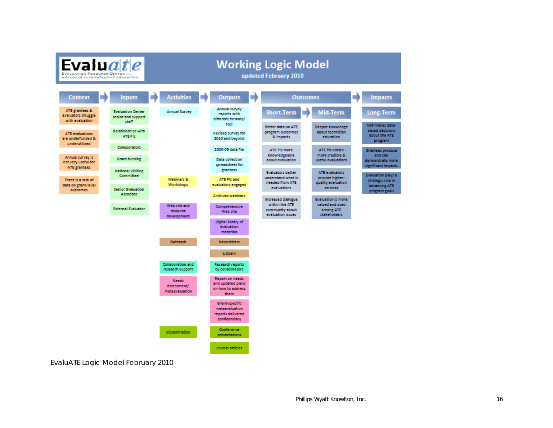

EvaluATE Logic Model February 2010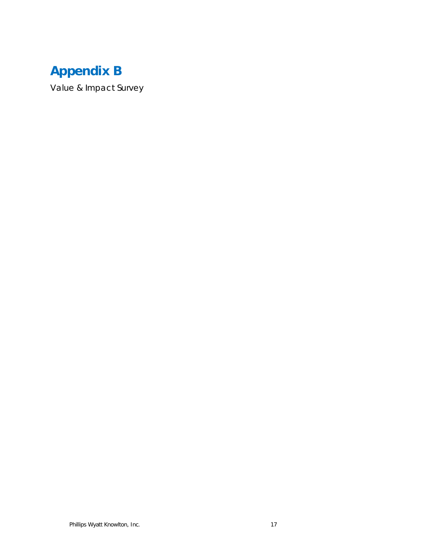# **Appendix B**

*Value & Impact Survey*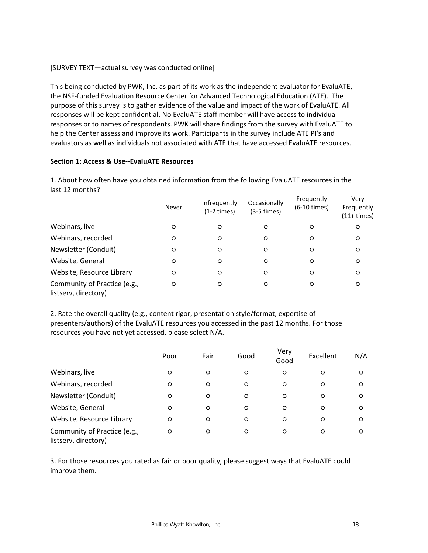### [SURVEY TEXT—actual survey was conducted online]

This being conducted by PWK, Inc. as part of its work as the independent evaluator for EvaluATE, the NSF-funded Evaluation Resource Center for Advanced Technological Education (ATE). The purpose of this survey is to gather evidence of the value and impact of the work of EvaluATE. All responses will be kept confidential. No EvaluATE staff member will have access to individual responses or to names of respondents. PWK will share findings from the survey with EvaluATE to help the Center assess and improve its work. Participants in the survey include ATE PI's and evaluators as well as individuals not associated with ATE that have accessed EvaluATE resources.

### **Section 1: Access & Use--EvaluATE Resources**

1. About how often have you obtained information from the following EvaluATE resources in the last 12 months?

|                                                      | Never   | Infrequently<br>$(1-2 \times)$ | Occasionally<br>$(3-5 \times)$ | Frequently<br>(6-10 times) | Very<br>Frequently<br>$(11+times)$ |
|------------------------------------------------------|---------|--------------------------------|--------------------------------|----------------------------|------------------------------------|
| Webinars, live                                       | $\circ$ | O                              | O                              | O                          | $\circ$                            |
| Webinars, recorded                                   | $\circ$ | O                              | $\circ$                        | O                          | $\circ$                            |
| Newsletter (Conduit)                                 | $\circ$ | O                              | O                              | O                          | $\circ$                            |
| Website, General                                     | $\circ$ | $\circ$                        | O                              | O                          | $\circ$                            |
| Website, Resource Library                            | $\circ$ | O                              | O                              | O                          | $\circ$                            |
| Community of Practice (e.g.,<br>listserv, directory) | $\circ$ | O                              | O                              | O                          | $\circ$                            |

2. Rate the overall quality (e.g., content rigor, presentation style/format, expertise of presenters/authors) of the EvaluATE resources you accessed in the past 12 months. For those resources you have not yet accessed, please select N/A.

|                                                      | Poor    | Fair    | Good    | Very<br>Good | Excellent | N/A     |
|------------------------------------------------------|---------|---------|---------|--------------|-----------|---------|
| Webinars, live                                       | O       | $\circ$ | O       | O            | O         | $\circ$ |
| Webinars, recorded                                   | $\circ$ | $\circ$ | $\circ$ | O            | O         | $\circ$ |
| Newsletter (Conduit)                                 | O       | $\circ$ | O       | O            | O         | $\circ$ |
| Website, General                                     | O       | $\circ$ | $\circ$ | O            | O         | O       |
| Website, Resource Library                            | $\circ$ | $\circ$ | O       | O            | O         | $\circ$ |
| Community of Practice (e.g.,<br>listserv, directory) | O       | O       | O       | O            | O         | $\circ$ |

3. For those resources you rated as fair or poor quality, please suggest ways that EvaluATE could improve them.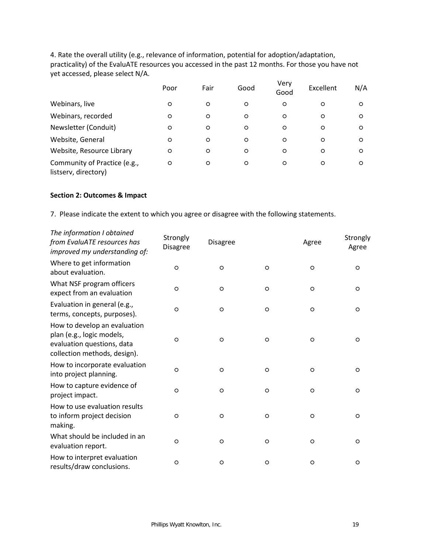4. Rate the overall utility (e.g., relevance of information, potential for adoption/adaptation, practicality) of the EvaluATE resources you accessed in the past 12 months. For those you have not yet accessed, please select N/A.

|                                                      | Poor    | Fair    | Good    | Very<br>Good | Excellent | N/A      |
|------------------------------------------------------|---------|---------|---------|--------------|-----------|----------|
| Webinars, live                                       | O       | $\circ$ | O       | $\circ$      | O         | $\Omega$ |
| Webinars, recorded                                   | $\circ$ | $\circ$ | $\circ$ | $\circ$      | O         | $\circ$  |
| Newsletter (Conduit)                                 | $\circ$ | $\circ$ | $\circ$ | $\circ$      | $\circ$   | $\Omega$ |
| Website, General                                     | $\circ$ | $\circ$ | $\circ$ | O            | $\circ$   | $\Omega$ |
| Website, Resource Library                            | O       | $\circ$ | $\circ$ | O            | O         | $\circ$  |
| Community of Practice (e.g.,<br>listserv, directory) | $\circ$ | $\circ$ | $\circ$ | O            | O         | $\Omega$ |

### **Section 2: Outcomes & Impact**

7. Please indicate the extent to which you agree or disagree with the following statements.

| The information I obtained<br>from EvaluATE resources has<br>improved my understanding of:                              | Strongly<br>Disagree | Disagree |         | Agree   | Strongly<br>Agree |
|-------------------------------------------------------------------------------------------------------------------------|----------------------|----------|---------|---------|-------------------|
| Where to get information<br>about evaluation.                                                                           | $\circ$              | O        | $\circ$ | $\circ$ | $\circ$           |
| What NSF program officers<br>expect from an evaluation                                                                  | $\circ$              | $\circ$  | $\circ$ | $\circ$ | $\circ$           |
| Evaluation in general (e.g.,<br>terms, concepts, purposes).                                                             | $\circ$              | O        | $\circ$ | $\circ$ | $\circ$           |
| How to develop an evaluation<br>plan (e.g., logic models,<br>evaluation questions, data<br>collection methods, design). | $\circ$              | $\circ$  | $\circ$ | $\circ$ | $\circ$           |
| How to incorporate evaluation<br>into project planning.                                                                 | $\circ$              | O        | $\circ$ | $\circ$ | $\circ$           |
| How to capture evidence of<br>project impact.                                                                           | $\circ$              | $\circ$  | $\circ$ | $\circ$ | $\circ$           |
| How to use evaluation results<br>to inform project decision<br>making.                                                  | $\circ$              | O        | $\circ$ | $\circ$ | $\circ$           |
| What should be included in an<br>evaluation report.                                                                     | $\circ$              | O        | $\circ$ | $\circ$ | $\circ$           |
| How to interpret evaluation<br>results/draw conclusions.                                                                | $\circ$              | $\circ$  | $\circ$ | $\circ$ | $\circ$           |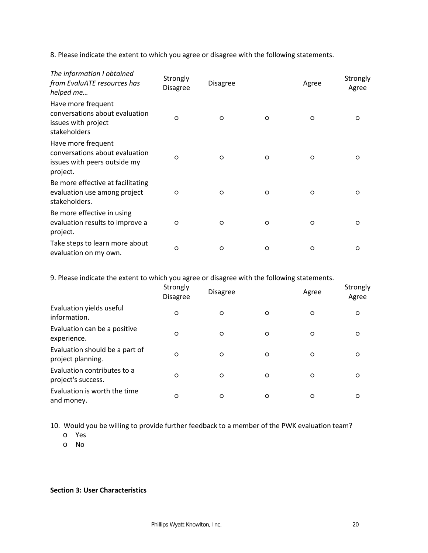8. Please indicate the extent to which you agree or disagree with the following statements.

| The information I obtained<br>from EvaluATE resources has<br>helped me                           | Strongly<br><b>Disagree</b> | <b>Disagree</b> |         | Agree    | Strongly<br>Agree |
|--------------------------------------------------------------------------------------------------|-----------------------------|-----------------|---------|----------|-------------------|
| Have more frequent<br>conversations about evaluation<br>issues with project<br>stakeholders      | $\circ$                     | $\Omega$        | $\circ$ | $\Omega$ | $\circ$           |
| Have more frequent<br>conversations about evaluation<br>issues with peers outside my<br>project. | $\Omega$                    | $\circ$         | $\circ$ | $\Omega$ | $\Omega$          |
| Be more effective at facilitating<br>evaluation use among project<br>stakeholders.               | $\circ$                     | $\circ$         | $\circ$ | $\circ$  | $\circ$           |
| Be more effective in using<br>evaluation results to improve a<br>project.                        | $\circ$                     | $\circ$         | $\circ$ | $\circ$  | $\circ$           |
| Take steps to learn more about<br>evaluation on my own.                                          | $\circ$                     | O               | $\circ$ | O        | $\circ$           |

9. Please indicate the extent to which you agree or disagree with the following statements.

|                                                     | Strongly<br><b>Disagree</b> | <b>Disagree</b> |         | Agree   | Strongly<br>Agree |
|-----------------------------------------------------|-----------------------------|-----------------|---------|---------|-------------------|
| Evaluation yields useful<br>information.            | $\circ$                     | O               | $\circ$ | $\circ$ | O                 |
| Evaluation can be a positive<br>experience.         | $\circ$                     | O               | O       | O       | O                 |
| Evaluation should be a part of<br>project planning. | $\circ$                     | $\circ$         | $\circ$ | $\circ$ | O                 |
| Evaluation contributes to a<br>project's success.   | $\circ$                     | O               | $\circ$ | $\circ$ | O                 |
| Evaluation is worth the time<br>and money.          | $\circ$                     | O               | $\circ$ | O       | O                 |

10. Would you be willing to provide further feedback to a member of the PWK evaluation team?

- o Yes
- o No

**Section 3: User Characteristics**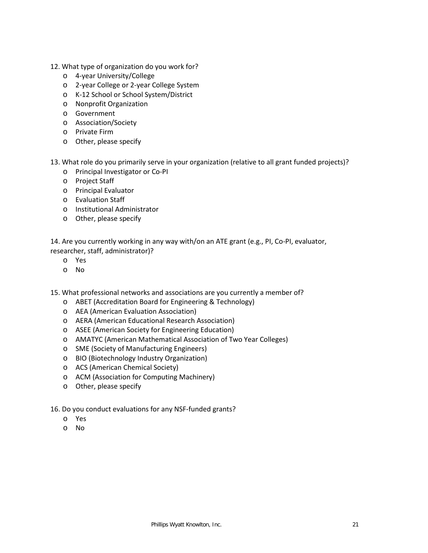- 12. What type of organization do you work for?
	- o 4-year University/College
	- o 2-year College or 2-year College System
	- o K-12 School or School System/District
	- o Nonprofit Organization
	- o Government
	- o Association/Society
	- o Private Firm
	- o Other, please specify
- 13. What role do you primarily serve in your organization (relative to all grant funded projects)?
	- o Principal Investigator or Co-PI
	- o Project Staff
	- o Principal Evaluator
	- o Evaluation Staff
	- o Institutional Administrator
	- o Other, please specify

14. Are you currently working in any way with/on an ATE grant (e.g., PI, Co-PI, evaluator, researcher, staff, administrator)?

- o Yes
- o No

15. What professional networks and associations are you currently a member of?

- o ABET (Accreditation Board for Engineering & Technology)
- o AEA (American Evaluation Association)
- o AERA (American Educational Research Association)
- o ASEE (American Society for Engineering Education)
- o AMATYC (American Mathematical Association of Two Year Colleges)
- o SME (Society of Manufacturing Engineers)
- o BIO (Biotechnology Industry Organization)
- o ACS (American Chemical Society)
- o ACM (Association for Computing Machinery)
- o Other, please specify
- 16. Do you conduct evaluations for any NSF-funded grants?
	- o Yes
	- o No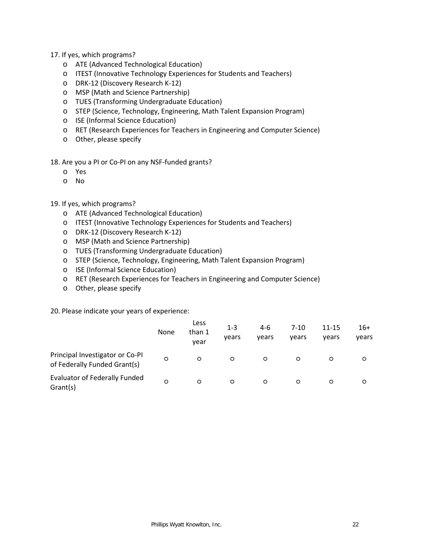### 17. If yes, which programs?

- o ATE (Advanced Technological Education)
- o ITEST (Innovative Technology Experiences for Students and Teachers)
- o DRK-12 (Discovery Research K-12)
- o MSP (Math and Science Partnership)
- o TUES (Transforming Undergraduate Education)
- o STEP (Science, Technology, Engineering, Math Talent Expansion Program)
- o ISE (Informal Science Education)
- o RET (Research Experiences for Teachers in Engineering and Computer Science)
- o Other, please specify

18. Are you a PI or Co-PI on any NSF-funded grants?

- o Yes
- o No

### 19. If yes, which programs?

- o ATE (Advanced Technological Education)
- o ITEST (Innovative Technology Experiences for Students and Teachers)
- o DRK-12 (Discovery Research K-12)
- o MSP (Math and Science Partnership)
- o TUES (Transforming Undergraduate Education)
- o STEP (Science, Technology, Engineering, Math Talent Expansion Program)
- o ISE (Informal Science Education)
- o RET (Research Experiences for Teachers in Engineering and Computer Science)
- o Other, please specify

20. Please indicate your years of experience:

|                                                                 | None    | Less<br>than 1<br>vear | $1 - 3$<br>vears | $4-6$<br>vears | $7 - 10$<br>vears | 11-15<br>vears | $16+$<br>vears |
|-----------------------------------------------------------------|---------|------------------------|------------------|----------------|-------------------|----------------|----------------|
| Principal Investigator or Co-PI<br>of Federally Funded Grant(s) | $\circ$ | $\circ$                | O                | $\circ$        | $\circ$           | $\circ$        | $\circ$        |
| <b>Evaluator of Federally Funded</b><br>Grant(s)                | $\circ$ | $\circ$                | $\circ$          | $\circ$        | $\circ$           | $\circ$        | $\circ$        |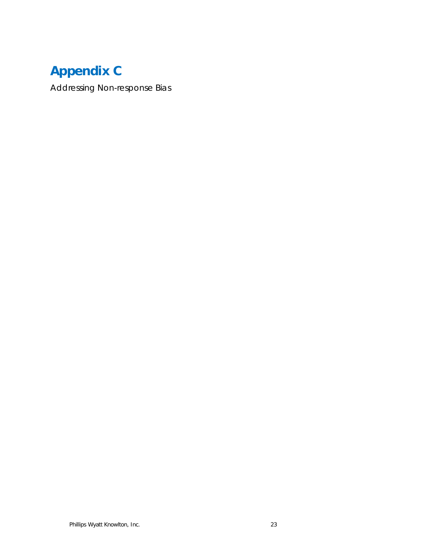# **Appendix C**

Addressing Non-response Bias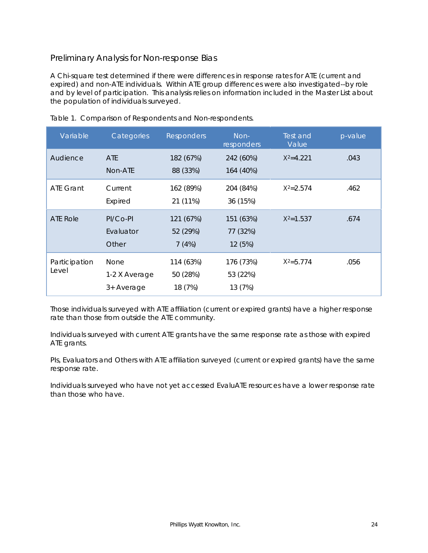### Preliminary Analysis for Non-response Bias

A Chi-square test determined if there were differences in response rates for ATE (current and expired) and non-ATE individuals. Within ATE group differences were also investigated--by role and by level of participation. This analysis relies on information included in the Master List about the population of individuals surveyed.

| Variable               | Categories                                 | <b>Responders</b>                | Non-<br>responders               | Test and<br>Value | p-value |
|------------------------|--------------------------------------------|----------------------------------|----------------------------------|-------------------|---------|
| Audience               | <b>ATE</b><br>Non-ATE                      | 182 (67%)<br>88 (33%)            | 242 (60%)<br>164 (40%)           | $X^2 = 4.221$     | .043    |
| <b>ATE Grant</b>       | Current<br>Expired                         | 162 (89%)<br>21 (11%)            | 204 (84%)<br>36 (15%)            | $X^2 = 2.574$     | .462    |
| ATE Role               | $PI/CO-PI$<br>Evaluator<br>Other           | 121 (67%)<br>52 (29%)<br>7(4%)   | 151 (63%)<br>77 (32%)<br>12 (5%) | $X^2 = 1.537$     | .674    |
| Participation<br>Level | <b>None</b><br>1-2 X Average<br>3+ Average | 114 (63%)<br>50 (28%)<br>18 (7%) | 176 (73%)<br>53 (22%)<br>13 (7%) | $X^2 = 5.774$     | .056    |

Table 1. Comparison of Respondents and Non-respondents.

Those individuals surveyed with ATE affiliation (current or expired grants) have a higher response rate than those from outside the ATE community.

Individuals surveyed with current ATE grants have the same response rate as those with expired ATE grants.

PIs, Evaluators and Others with ATE affiliation surveyed (current or expired grants) have the same response rate.

Individuals surveyed who have not yet accessed EvaluATE resources have a lower response rate than those who have.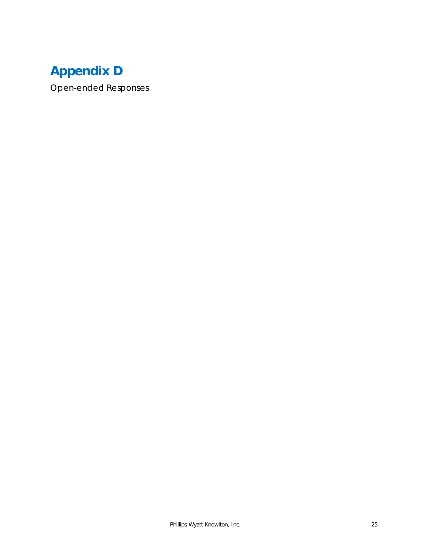# **Appendix D**

Open-ended Responses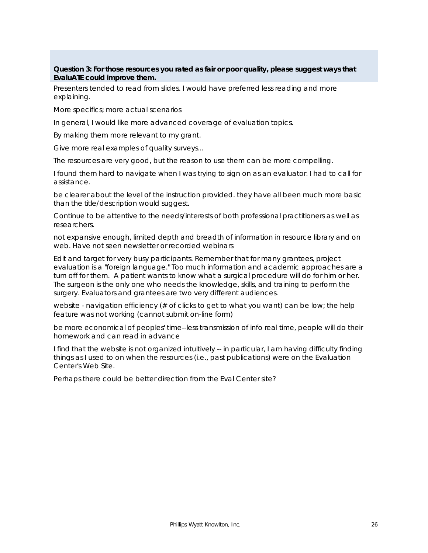### **Question 3: For those resources you rated as fair or poor quality, please suggest ways that EvaluATE could improve them.**

Presenters tended to read from slides. I would have preferred less reading and more explaining.

More specifics; more actual scenarios

In general, I would like more advanced coverage of evaluation topics.

By making them more relevant to my grant.

Give more real examples of quality surveys...

The resources are very good, but the reason to use them can be more compelling.

I found them hard to navigate when I was trying to sign on as an evaluator. I had to call for assistance.

be clearer about the level of the instruction provided. they have all been much more basic than the title/description would suggest.

Continue to be attentive to the needs/interests of both professional practitioners as well as researchers.

not expansive enough, limited depth and breadth of information in resource library and on web. Have not seen newsletter or recorded webinars

Edit and target for very busy participants. Remember that for many grantees, project evaluation is a "foreign language." Too much information and academic approaches are a turn off for them. A patient wants to know what a surgical procedure will do for him or her. The surgeon is the only one who needs the knowledge, skills, and training to perform the surgery. Evaluators and grantees are two very different audiences.

website - navigation efficiency (# of clicks to get to what you want) can be low; the help feature was not working (cannot submit on-line form)

be more economical of peoples' time--less transmission of info real time, people will do their homework and can read in advance

I find that the website is not organized intuitively -- in particular, I am having difficulty finding things as I used to on when the resources (i.e., past publications) were on the Evaluation Center's Web Site.

Perhaps there could be better direction from the Eval Center site?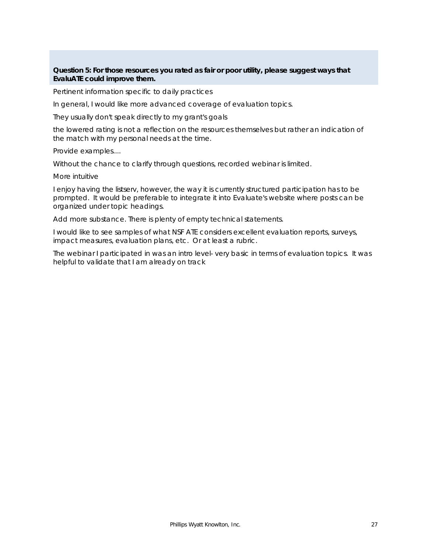### **Question 5: For those resources you rated as fair or poor utility, please suggest ways that EvaluATE could improve them.**

Pertinent information specific to daily practices

In general, I would like more advanced coverage of evaluation topics.

They usually don't speak directly to my grant's goals

the lowered rating is not a reflection on the resources themselves but rather an indication of the match with my personal needs at the time.

Provide examples....

Without the chance to clarify through questions, recorded webinar is limited.

More intuitive

I enjoy having the listserv, however, the way it is currently structured participation has to be prompted. It would be preferable to integrate it into Evaluate's website where posts can be organized under topic headings.

Add more substance. There is plenty of empty technical statements.

I would like to see samples of what NSF ATE considers excellent evaluation reports, surveys, impact measures, evaluation plans, etc. Or at least a rubric.

The webinar I participated in was an intro level- very basic in terms of evaluation topics. It was helpful to validate that I am already on track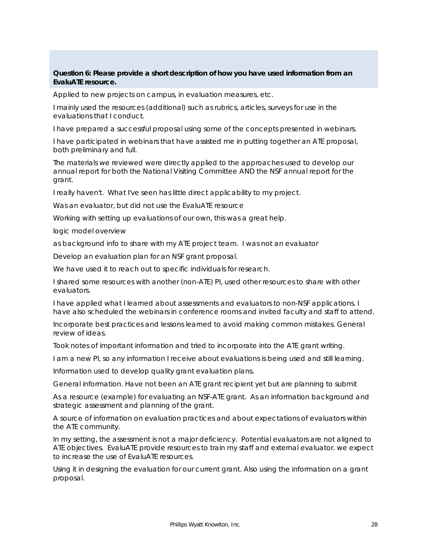### **Question 6: Please provide a short description of how you have used information from an EvaluATE resource.**

Applied to new projects on campus, in evaluation measures, etc.

I mainly used the resources (additional) such as rubrics, articles, surveys for use in the evaluations that I conduct.

I have prepared a successful proposal using some of the concepts presented in webinars.

I have participated in webinars that have assisted me in putting together an ATE proposal, both preliminary and full.

The materials we reviewed were directly applied to the approaches used to develop our annual report for both the National Visiting Committee AND the NSF annual report for the grant.

I really haven't. What I've seen has little direct applicability to my project.

Was an evaluator, but did not use the EvaluATE resource

Working with setting up evaluations of our own, this was a great help.

logic model overview

as background info to share with my ATE project team. I was not an evaluator

Develop an evaluation plan for an NSF grant proposal.

We have used it to reach out to specific individuals for research.

I shared some resources with another (non-ATE) PI, used other resources to share with other evaluators.

I have applied what I learned about assessments and evaluators to non-NSF applications. I have also scheduled the webinars in conference rooms and invited faculty and staff to attend.

Incorporate best practices and lessons learned to avoid making common mistakes. General review of ideas.

Took notes of important information and tried to incorporate into the ATE grant writing.

I am a new PI, so any information I receive about evaluations is being used and still learning.

Information used to develop quality grant evaluation plans.

General information. Have not been an ATE grant recipient yet but are planning to submit

As a resource (example) for evaluating an NSF-ATE grant. As an information background and strategic assessment and planning of the grant.

A source of information on evaluation practices and about expectations of evaluators within the ATE community.

In my setting, the assessment is not a major deficiency. Potential evaluators are not aligned to ATE objectives. EvaluATE provide resources to train my staff and external evaluator. we expect to increase the use of EvaluATE resources.

Using it in designing the evaluation for our current grant. Also using the information on a grant proposal.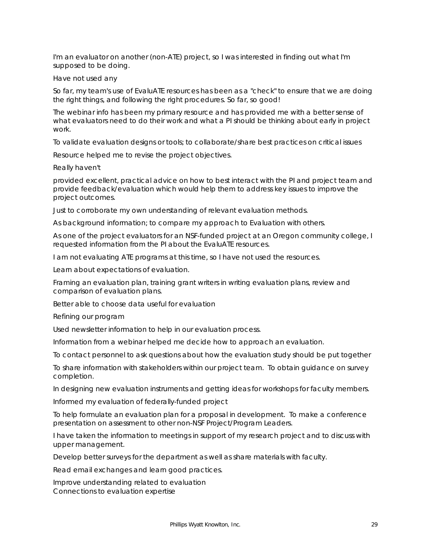I'm an evaluator on another (non-ATE) project, so I was interested in finding out what I'm supposed to be doing.

#### Have not used any

So far, my team's use of EvaluATE resources has been as a "check" to ensure that we are doing the right things, and following the right procedures. So far, so good!

The webinar info has been my primary resource and has provided me with a better sense of what evaluators need to do their work and what a PI should be thinking about early in project work.

To validate evaluation designs or tools; to collaborate/share best practices on critical issues

Resource helped me to revise the project objectives.

Really haven't

provided excellent, practical advice on how to best interact with the PI and project team and provide feedback/evaluation which would help them to address key issues to improve the project outcomes.

Just to corroborate my own understanding of relevant evaluation methods.

As background information; to compare my approach to Evaluation with others.

As one of the project evaluators for an NSF-funded project at an Oregon community college, I requested information from the PI about the EvaluATE resources.

I am not evaluating ATE programs at this time, so I have not used the resources.

Learn about expectations of evaluation.

Framing an evaluation plan, training grant writers in writing evaluation plans, review and comparison of evaluation plans.

Better able to choose data useful for evaluation

Refining our program

Used newsletter information to help in our evaluation process.

Information from a webinar helped me decide how to approach an evaluation.

To contact personnel to ask questions about how the evaluation study should be put together

To share information with stakeholders within our project team. To obtain guidance on survey completion.

In designing new evaluation instruments and getting ideas for workshops for faculty members.

Informed my evaluation of federally-funded project

To help formulate an evaluation plan for a proposal in development. To make a conference presentation on assessment to other non-NSF Project/Program Leaders.

I have taken the information to meetings in support of my research project and to discuss with upper management.

Develop better surveys for the department as well as share materials with faculty.

Read email exchanges and learn good practices.

Improve understanding related to evaluation Connections to evaluation expertise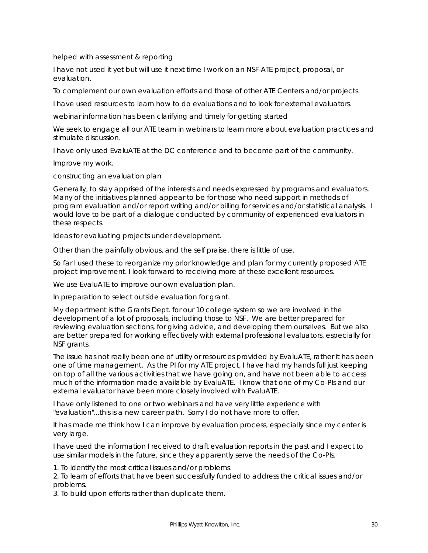helped with assessment & reporting

I have not used it yet but will use it next time I work on an NSF-ATE project, proposal, or evaluation.

To complement our own evaluation efforts and those of other ATE Centers and/or projects

I have used resources to learn how to do evaluations and to look for external evaluators.

webinar information has been clarifying and timely for getting started

We seek to engage all our ATE team in webinars to learn more about evaluation practices and stimulate discussion.

I have only used EvaluATE at the DC conference and to become part of the community.

Improve my work.

constructing an evaluation plan

Generally, to stay apprised of the interests and needs expressed by programs and evaluators. Many of the initiatives planned appear to be for those who need support in methods of program evaluation and/or report writing and/or billing for services and/or statistical analysis. I would love to be part of a dialogue conducted by community of experienced evaluators in these respects.

Ideas for evaluating projects under development.

Other than the painfully obvious, and the self praise, there is little of use.

So far I used these to reorganize my prior knowledge and plan for my currently proposed ATE project improvement. I look forward to receiving more of these excellent resources.

We use EvaluATE to improve our own evaluation plan.

In preparation to select outside evaluation for grant.

My department is the Grants Dept. for our 10 college system so we are involved in the development of a lot of proposals, including those to NSF. We are better prepared for reviewing evaluation sections, for giving advice, and developing them ourselves. But we also are better prepared for working effectively with external professional evaluators, especially for NSF grants.

The issue has not really been one of utility or resources provided by EvaluATE, rather it has been one of time management. As the PI for my ATE project, I have had my hands full just keeping on top of all the various activities that we have going on, and have not been able to access much of the information made available by EvaluATE. I know that one of my Co-PIs and our external evaluator have been more closely involved with EvaluATE.

I have only listened to one or two webinars and have very little experience with "evaluation"...this is a new career path. Sorry I do not have more to offer.

It has made me think how I can improve by evaluation process, especially since my center is very large.

I have used the information I received to draft evaluation reports in the past and I expect to use similar models in the future, since they apparently serve the needs of the Co-PIs.

1. To identify the most critical issues and/or problems.

2, To learn of efforts that have been successfully funded to address the critical issues and/or problems.

3. To build upon efforts rather than duplicate them.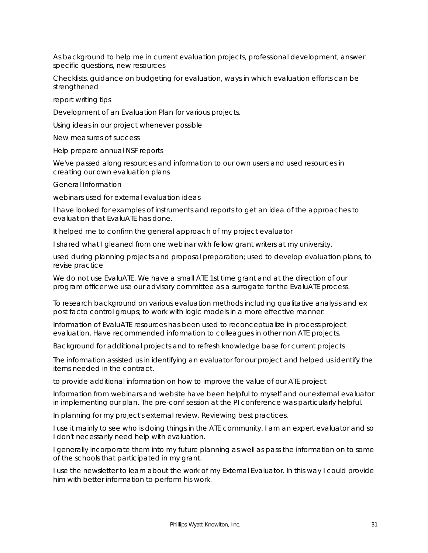As background to help me in current evaluation projects, professional development, answer specific questions, new resources

Checklists, guidance on budgeting for evaluation, ways in which evaluation efforts can be strengthened

report writing tips

Development of an Evaluation Plan for various projects.

Using ideas in our project whenever possible

New measures of success

Help prepare annual NSF reports

We've passed along resources and information to our own users and used resources in creating our own evaluation plans

General Information

webinars used for external evaluation ideas

I have looked for examples of instruments and reports to get an idea of the approaches to evaluation that EvaluATE has done.

It helped me to confirm the general approach of my project evaluator

I shared what I gleaned from one webinar with fellow grant writers at my university.

used during planning projects and proposal preparation; used to develop evaluation plans, to revise practice

We do not use EvaluATE. We have a small ATE 1st time grant and at the direction of our program officer we use our advisory committee as a surrogate for the EvaluATE process.

To research background on various evaluation methods including qualitative analysis and ex post facto control groups; to work with logic models in a more effective manner.

Information of EvaluATE resources has been used to reconceptualize in process project evaluation. Have recommended information to colleagues in other non ATE projects.

Background for additional projects and to refresh knowledge base for current projects

The information assisted us in identifying an evaluator for our project and helped us identify the items needed in the contract.

to provide additional information on how to improve the value of our ATE project

Information from webinars and website have been helpful to myself and our external evaluator in implementing our plan. The pre-conf session at the PI conference was particularly helpful.

In planning for my project's external review. Reviewing best practices.

I use it mainly to see who is doing things in the ATE community. I am an expert evaluator and so I don't necessarily need help with evaluation.

I generally incorporate them into my future planning as well as pass the information on to some of the schools that participated in my grant.

I use the newsletter to learn about the work of my External Evaluator. In this way I could provide him with better information to perform his work.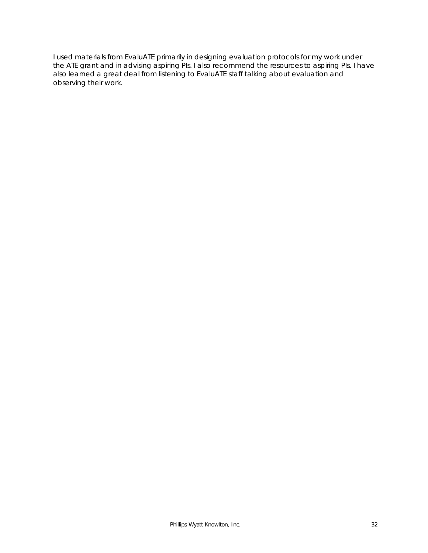I used materials from EvaluATE primarily in designing evaluation protocols for my work under the ATE grant and in advising aspiring PIs. I also recommend the resources to aspiring PIs. I have also learned a great deal from listening to EvaluATE staff talking about evaluation and observing their work.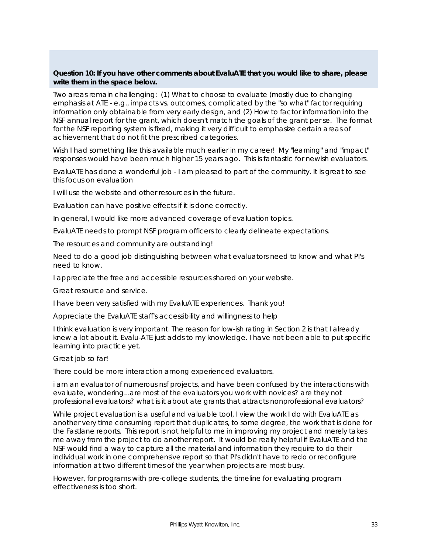### **Question 10: If you have other comments about EvaluATE that you would like to share, please write them in the space below.**

Two areas remain challenging: (1) What to choose to evaluate (mostly due to changing emphasis at ATE - e.g., impacts vs. outcomes, complicated by the "so what" factor requiring information only obtainable from very early design, and (2) How to factor information into the NSF annual report for the grant, which doesn't match the goals of the grant per se. The format for the NSF reporting system is fixed, making it very difficult to emphasize certain areas of achievement that do not fit the prescribed categories.

Wish I had something like this available much earlier in my career! My "learning" and "impact" responses would have been much higher 15 years ago. This is fantastic for newish evaluators.

EvaluATE has done a wonderful job - I am pleased to part of the community. It is great to see this focus on evaluation

I will use the website and other resources in the future.

Evaluation can have positive effects if it is done correctly.

In general, I would like more advanced coverage of evaluation topics.

EvaluATE needs to prompt NSF program officers to clearly delineate expectations.

The resources and community are outstanding!

Need to do a good job distinguishing between what evaluators need to know and what PI's need to know.

I appreciate the free and accessible resources shared on your website.

Great resource and service.

I have been very satisfied with my EvaluATE experiences. Thank you!

Appreciate the EvaluATE staff's accessibility and willingness to help

I think evaluation is very important. The reason for low-ish rating in Section 2 is that I already knew a lot about it. Evalu-ATE just adds to my knowledge. I have not been able to put specific learning into practice yet.

Great job so far!

There could be more interaction among experienced evaluators.

i am an evaluator of numerous nsf projects, and have been confused by the interactions with evaluate, wondering...are most of the evaluators you work with novices? are they not professional evaluators? what is it about ate grants that attracts nonprofessional evaluators?

While project evaluation is a useful and valuable tool, I view the work I do with EvaluATE as another very time consuming report that duplicates, to some degree, the work that is done for the Fastlane reports. This report is not helpful to me in improving my project and merely takes me away from the project to do another report. It would be really helpful if EvaluATE and the NSF would find a way to capture all the material and information they require to do their individual work in one comprehensive report so that PI's didn't have to redo or reconfigure information at two different times of the year when projects are most busy.

However, for programs with pre-college students, the timeline for evaluating program effectiveness is too short.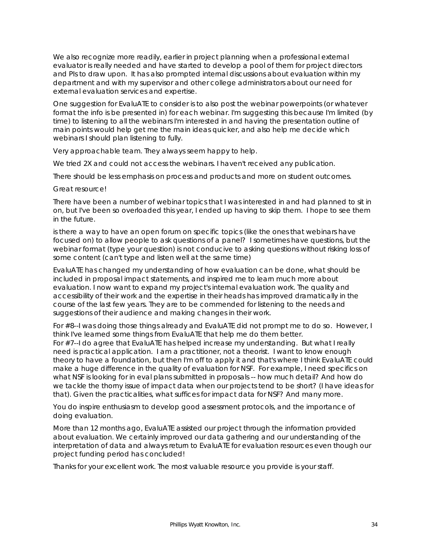We also recognize more readily, earlier in project planning when a professional external evaluator is really needed and have started to develop a pool of them for project directors and PIs to draw upon. It has also prompted internal discussions about evaluation within my department and with my supervisor and other college administrators about our need for external evaluation services and expertise.

One suggestion for EvaluATE to consider is to also post the webinar powerpoints (or whatever format the info is be presented in) for each webinar. I'm suggesting this because I'm limited (by time) to listening to all the webinars I'm interested in and having the presentation outline of main points would help get me the main ideas quicker, and also help me decide which webinars I should plan listening to fully.

Very approachable team. They always seem happy to help.

We tried 2X and could not access the webinars. I haven't received any publication.

There should be less emphasis on process and products and more on student outcomes.

Great resource!

There have been a number of webinar topics that I was interested in and had planned to sit in on, but I've been so overloaded this year, I ended up having to skip them. I hope to see them in the future.

is there a way to have an open forum on specific topics (like the ones that webinars have focused on) to allow people to ask questions of a panel? I sometimes have questions, but the webinar format (type your question) is not conducive to asking questions without risking loss of some content (can't type and listen well at the same time)

EvaluATE has changed my understanding of how evaluation can be done, what should be included in proposal impact statements, and inspired me to learn much more about evaluation. I now want to expand my project's internal evaluation work. The quality and accessibility of their work and the expertise in their heads has improved dramatically in the course of the last few years. They are to be commended for listening to the needs and suggestions of their audience and making changes in their work.

For #8--I was doing those things already and EvaluATE did not prompt me to do so. However, I think I've learned some things from EvaluATE that help me do them better. For #7--I do agree that EvaluATE has helped increase my understanding. But what I really need is practical application. I am a practitioner, not a theorist. I want to know enough theory to have a foundation, but then I'm off to apply it and that's where I think EvaluATE could make a huge difference in the quality of evaluation for NSF. For example, I need specifics on what NSF is looking for in eval plans submitted in proposals -- how much detail? And how do we tackle the thorny issue of impact data when our projects tend to be short? (I have ideas for that). Given the practicalities, what suffices for impact data for NSF? And many more.

You do inspire enthusiasm to develop good assessment protocols, and the importance of doing evaluation.

More than 12 months ago, EvaluATE assisted our project through the information provided about evaluation. We certainly improved our data gathering and our understanding of the interpretation of data and always return to EvaluATE for evaluation resources even though our project funding period has concluded!

Thanks for your excellent work. The most valuable resource you provide is your staff.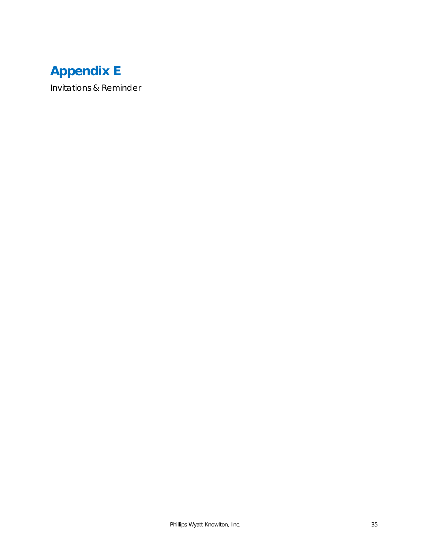# **Appendix E**

Invitations & Reminder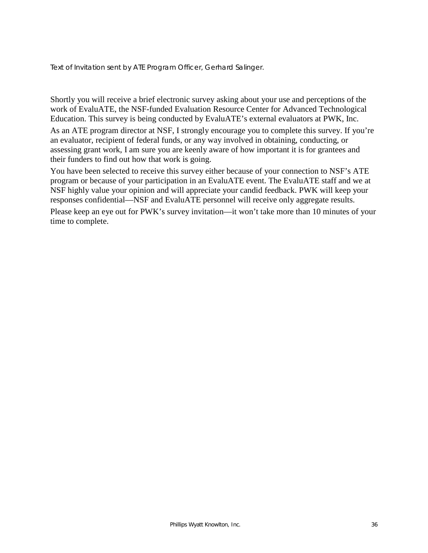Text of Invitation sent by ATE Program Officer, Gerhard Salinger.

Shortly you will receive a brief electronic survey asking about your use and perceptions of the work of EvaluATE, the NSF-funded Evaluation Resource Center for Advanced Technological Education. This survey is being conducted by EvaluATE's external evaluators at PWK, Inc.

As an ATE program director at NSF, I strongly encourage you to complete this survey. If you're an evaluator, recipient of federal funds, or any way involved in obtaining, conducting, or assessing grant work, I am sure you are keenly aware of how important it is for grantees and their funders to find out how that work is going.

You have been selected to receive this survey either because of your connection to NSF's ATE program or because of your participation in an EvaluATE event. The EvaluATE staff and we at NSF highly value your opinion and will appreciate your candid feedback. PWK will keep your responses confidential—NSF and EvaluATE personnel will receive only aggregate results.

Please keep an eye out for PWK's survey invitation—it won't take more than 10 minutes of your time to complete.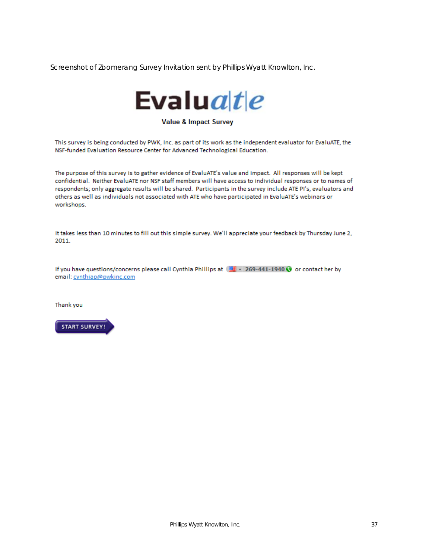Screenshot of Zoomerang Survey Invitation sent by Phillips Wyatt Knowlton, Inc.



#### **Value & Impact Survey**

This survey is being conducted by PWK, Inc. as part of its work as the independent evaluator for EvaluATE, the NSF-funded Evaluation Resource Center for Advanced Technological Education.

The purpose of this survey is to gather evidence of EvaluATE's value and impact. All responses will be kept confidential. Neither EvaluATE nor NSF staff members will have access to individual responses or to names of respondents; only aggregate results will be shared. Participants in the survey include ATE PI's, evaluators and others as well as individuals not associated with ATE who have participated in EvaluATE's webinars or workshops.

It takes less than 10 minutes to fill out this simple survey. We'll appreciate your feedback by Thursday June 2, 2011.

If you have questions/concerns please call Cynthia Phillips at  $(\equiv \equiv +269-441-1940 \cdot \text{C})$  or contact her by email: cynthiap@pwkinc.com

Thank you